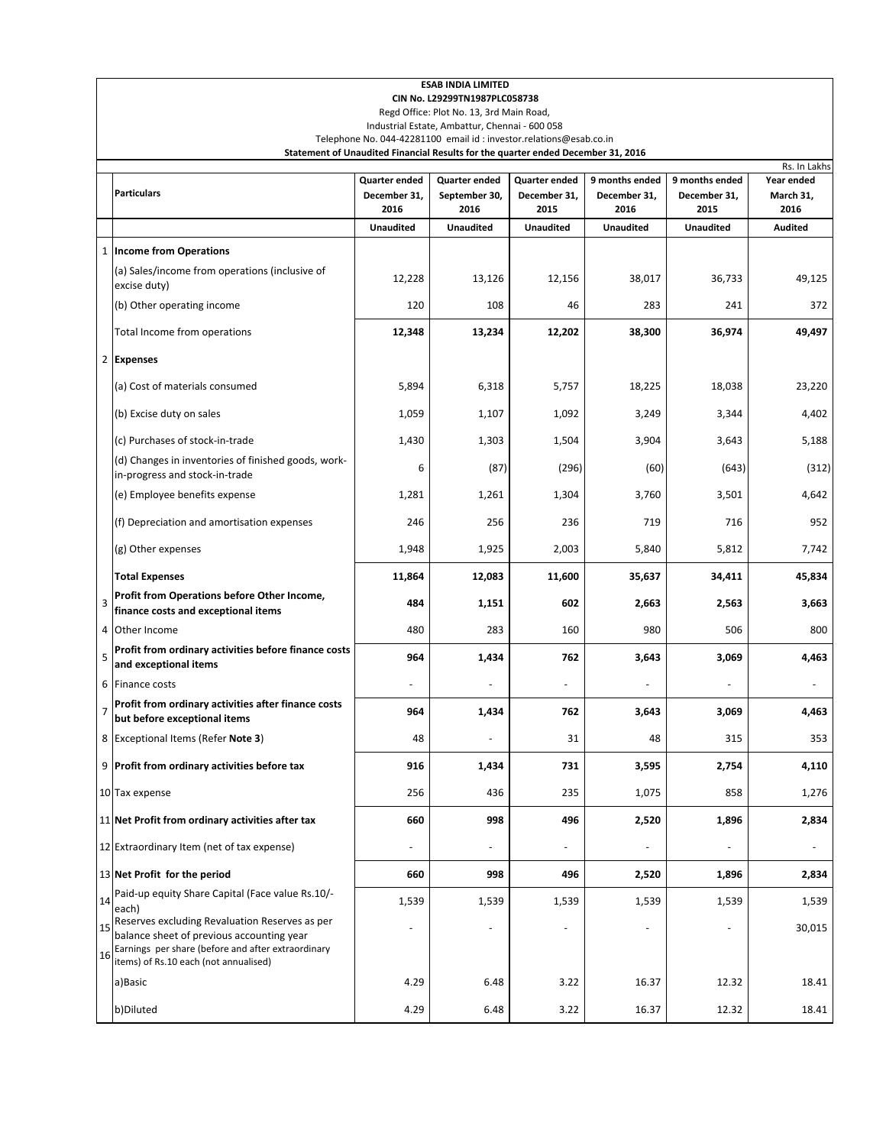|                | <b>ESAB INDIA LIMITED</b><br>CIN No. L29299TN1987PLC058738                                                                                                                                 |                      |                       |                      |                      |                      |                            |  |  |  |  |  |  |
|----------------|--------------------------------------------------------------------------------------------------------------------------------------------------------------------------------------------|----------------------|-----------------------|----------------------|----------------------|----------------------|----------------------------|--|--|--|--|--|--|
|                | Regd Office: Plot No. 13, 3rd Main Road,<br>Industrial Estate, Ambattur, Chennai - 600 058<br>Telephone No. 044-42281100 email id : investor.relations@esab.co.in                          |                      |                       |                      |                      |                      |                            |  |  |  |  |  |  |
|                | Statement of Unaudited Financial Results for the quarter ended December 31, 2016                                                                                                           |                      |                       |                      |                      |                      |                            |  |  |  |  |  |  |
|                |                                                                                                                                                                                            | Quarter ended        | Quarter ended         | <b>Quarter ended</b> | 9 months ended       | 9 months ended       | Rs. In Lakhs<br>Year ended |  |  |  |  |  |  |
|                | <b>Particulars</b>                                                                                                                                                                         | December 31,<br>2016 | September 30,<br>2016 | December 31,<br>2015 | December 31,<br>2016 | December 31,<br>2015 | March 31,<br>2016          |  |  |  |  |  |  |
|                |                                                                                                                                                                                            | <b>Unaudited</b>     | <b>Unaudited</b>      | <b>Unaudited</b>     | <b>Unaudited</b>     | <b>Unaudited</b>     | <b>Audited</b>             |  |  |  |  |  |  |
|                | 1 Income from Operations                                                                                                                                                                   |                      |                       |                      |                      |                      |                            |  |  |  |  |  |  |
|                | (a) Sales/income from operations (inclusive of<br>excise duty)                                                                                                                             | 12,228               | 13,126                | 12,156               | 38,017               | 36,733               | 49,125                     |  |  |  |  |  |  |
|                | (b) Other operating income                                                                                                                                                                 | 120                  | 108                   | 46                   | 283                  | 241                  | 372                        |  |  |  |  |  |  |
|                | Total Income from operations                                                                                                                                                               | 12,348               | 13,234                | 12,202               | 38,300               | 36,974               | 49,497                     |  |  |  |  |  |  |
| 2              | <b>Expenses</b>                                                                                                                                                                            |                      |                       |                      |                      |                      |                            |  |  |  |  |  |  |
|                | (a) Cost of materials consumed                                                                                                                                                             | 5,894                | 6,318                 | 5,757                | 18,225               | 18,038               | 23,220                     |  |  |  |  |  |  |
|                | (b) Excise duty on sales                                                                                                                                                                   | 1,059                | 1,107                 | 1,092                | 3,249                | 3,344                | 4,402                      |  |  |  |  |  |  |
|                | (c) Purchases of stock-in-trade                                                                                                                                                            | 1,430                | 1,303                 | 1,504                | 3,904                | 3,643                | 5,188                      |  |  |  |  |  |  |
|                | (d) Changes in inventories of finished goods, work-<br>in-progress and stock-in-trade                                                                                                      | 6                    | (87)                  | (296)                | (60)                 | (643)                | (312)                      |  |  |  |  |  |  |
|                | (e) Employee benefits expense                                                                                                                                                              | 1,281                | 1,261                 | 1,304                | 3,760                | 3,501                | 4,642                      |  |  |  |  |  |  |
|                | (f) Depreciation and amortisation expenses                                                                                                                                                 | 246                  | 256                   | 236                  | 719                  | 716                  | 952                        |  |  |  |  |  |  |
|                | (g) Other expenses                                                                                                                                                                         | 1,948                | 1,925                 | 2,003                | 5,840                | 5,812                | 7,742                      |  |  |  |  |  |  |
|                | <b>Total Expenses</b>                                                                                                                                                                      | 11,864               | 12,083                | 11,600               | 35,637               | 34,411               | 45,834                     |  |  |  |  |  |  |
| 3              | Profit from Operations before Other Income,<br>finance costs and exceptional items                                                                                                         | 484                  | 1,151                 | 602                  | 2,663                | 2,563                | 3,663                      |  |  |  |  |  |  |
| 4              | Other Income                                                                                                                                                                               | 480                  | 283                   | 160                  | 980                  | 506                  | 800                        |  |  |  |  |  |  |
| 5              | Profit from ordinary activities before finance costs<br>and exceptional items                                                                                                              | 964                  | 1,434                 | 762                  | 3,643                | 3,069                | 4,463                      |  |  |  |  |  |  |
| 6              | <b>Finance costs</b>                                                                                                                                                                       |                      |                       |                      |                      |                      |                            |  |  |  |  |  |  |
| $\overline{7}$ | Profit from ordinary activities after finance costs<br>but before exceptional items                                                                                                        | 964                  | 1,434                 | 762                  | 3,643                | 3,069                | 4,463                      |  |  |  |  |  |  |
|                | 8 Exceptional Items (Refer Note 3)                                                                                                                                                         | 48                   |                       | 31                   | 48                   | 315                  | 353                        |  |  |  |  |  |  |
|                | 9 Profit from ordinary activities before tax                                                                                                                                               | 916                  | 1,434                 | 731                  | 3,595                | 2,754                | 4,110                      |  |  |  |  |  |  |
|                | 10 Tax expense                                                                                                                                                                             | 256                  | 436                   | 235                  | 1,075                | 858                  | 1,276                      |  |  |  |  |  |  |
|                | 11 Net Profit from ordinary activities after tax                                                                                                                                           | 660                  | 998                   | 496                  | 2,520                | 1,896                | 2,834                      |  |  |  |  |  |  |
|                | 12 Extraordinary Item (net of tax expense)                                                                                                                                                 |                      |                       |                      |                      |                      |                            |  |  |  |  |  |  |
|                | 13 Net Profit for the period                                                                                                                                                               | 660                  | 998                   | 496                  | 2,520                | 1,896                | 2,834                      |  |  |  |  |  |  |
| 14             | Paid-up equity Share Capital (Face value Rs.10/-<br>each)                                                                                                                                  | 1,539                | 1,539                 | 1,539                | 1,539                | 1,539                | 1,539                      |  |  |  |  |  |  |
| 15<br>16       | Reserves excluding Revaluation Reserves as per<br>balance sheet of previous accounting year<br>Earnings per share (before and after extraordinary<br>items) of Rs.10 each (not annualised) |                      | Ē,                    | ÷,                   | ÷,                   | ÷,                   | 30,015                     |  |  |  |  |  |  |
|                | a)Basic                                                                                                                                                                                    | 4.29                 | 6.48                  | 3.22                 | 16.37                | 12.32                | 18.41                      |  |  |  |  |  |  |
|                | b)Diluted                                                                                                                                                                                  | 4.29                 | 6.48                  | 3.22                 | 16.37                | 12.32                | 18.41                      |  |  |  |  |  |  |